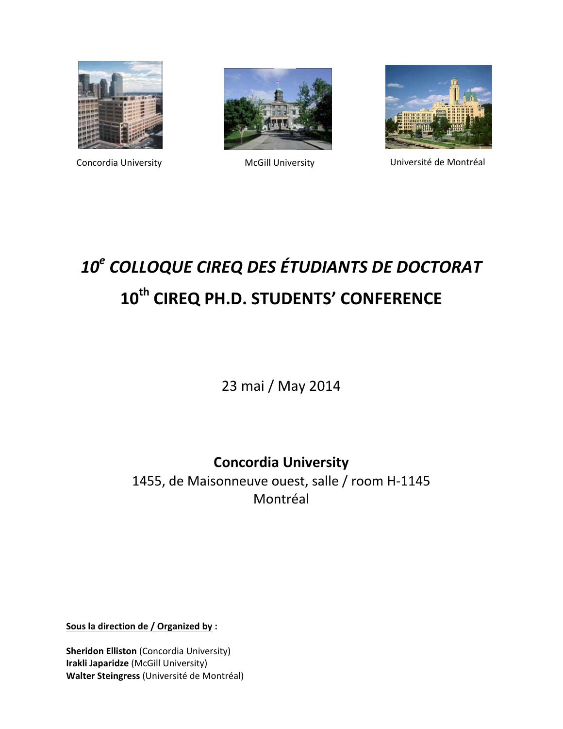





Concordia University McGill University Université de Montréal

# *10<sup>e</sup> COLLOQUE CIREQ DES ÉTUDIANTS DE DOCTORAT* **10th CIREQ PH.D. STUDENTS' CONFERENCE**

23 mai / May 2014

**Concordia University**

1455, de Maisonneuve ouest, salle / room H‐1145 Montréal

**Sous la direction de / Organized by :**

**Sheridon Elliston** (Concordia University) **Irakli Japaridze** (McGill University) **Walter Steingress** (Université de Montréal)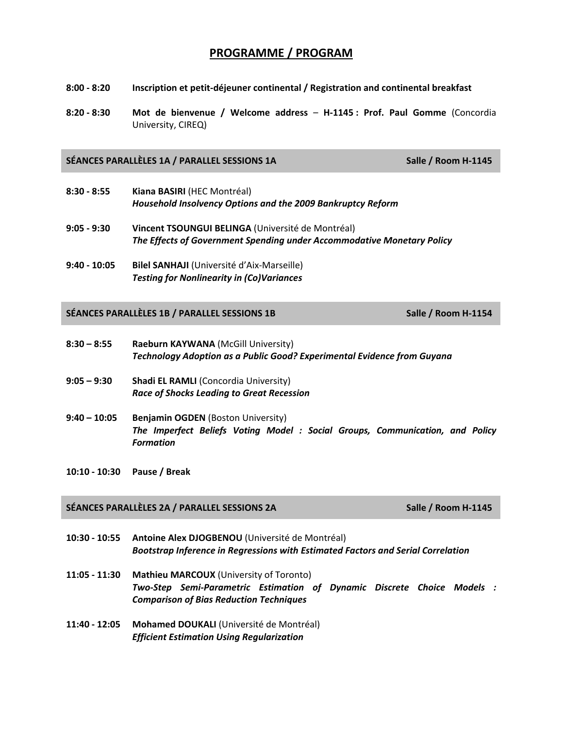## **PROGRAMME / PROGRAM**

- **8:00 ‐ 8:20 Inscription et petit‐déjeuner continental / Registration and continental breakfast**
- **8:20 ‐ 8:30 Mot de bienvenue / Welcome address H‐1145 : Prof. Paul Gomme** (Concordia University, CIREQ)

## **SÉANCES PARALLÈLES 1A / PARALLEL SESSIONS 1A Salle / Room H‐1145**

- **8:30 ‐ 8:55 Kiana BASIRI** (HEC Montréal) *Household Insolvency Options and the 2009 Bankruptcy Reform*
- **9:05 ‐ 9:30 Vincent TSOUNGUI BELINGA** (Université de Montréal) *The Effects of Government Spending under Accommodative Monetary Policy*
- **9:40 ‐ 10:05 Bilel SANHAJI** (Université d'Aix‐Marseille) *Testing for Nonlinearity in (Co)Variances*

## **SÉANCES PARALLÈLES 1B / PARALLEL SESSIONS 1B Salle / Room H‐1154**

- **8:30 – 8:55 Raeburn KAYWANA** (McGill University) *Technology Adoption as a Public Good? Experimental Evidence from Guyana*
- **9:05 – 9:30 Shadi EL RAMLI** (Concordia University) *Race of Shocks Leading to Great Recession*
- **9:40 – 10:05 Benjamin OGDEN** (Boston University) *The Imperfect Beliefs Voting Model : Social Groups, Communication, and Policy Formation*
- **10:10 ‐ 10:30 Pause / Break**

## **SÉANCES PARALLÈLES 2A / PARALLEL SESSIONS 2A Salle / Room H‐1145**

- **10:30 ‐ 10:55 Antoine Alex DJOGBENOU** (Université de Montréal) *Bootstrap Inference in Regressions with Estimated Factors and Serial Correlation*
- **11:05 ‐ 11:30 Mathieu MARCOUX** (University of Toronto) *Two‐Step Semi‐Parametric Estimation of Dynamic Discrete Choice Models : Comparison of Bias Reduction Techniques*
- **11:40 ‐ 12:05 Mohamed DOUKALI** (Université de Montréal) *Efficient Estimation Using Regularization*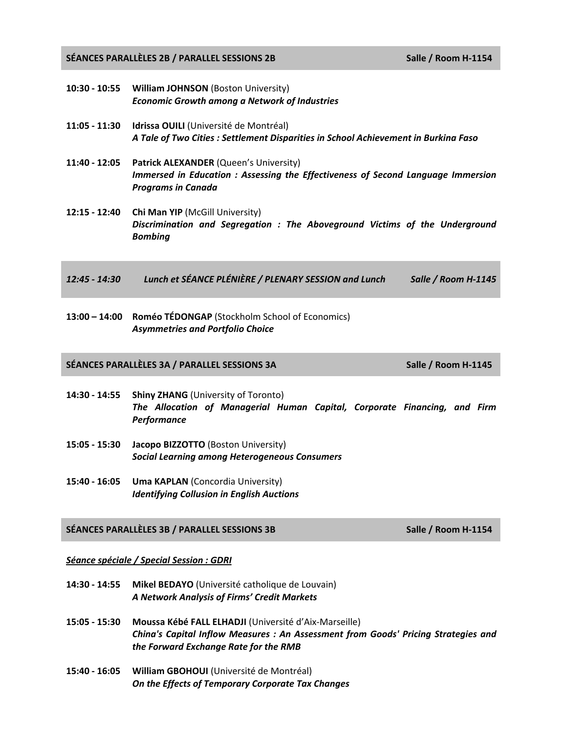**SÉANCES PARALLÈLES 2B / PARALLEL SESSIONS 2B Salle / Room H‐1154**

- **10:30 ‐ 10:55 William JOHNSON** (Boston University) *Economic Growth among a Network of Industries*
- **11:05 ‐ 11:30 Idrissa OUILI** (Université de Montréal) *A Tale of Two Cities : Settlement Disparities in School Achievement in Burkina Faso*
- **11:40 ‐ 12:05 Patrick ALEXANDER** (Queen's University) *Immersed in Education : Assessing the Effectiveness of Second Language Immersion Programs in Canada*
- **12:15 ‐ 12:40 Chi Man YIP** (McGill University) *Discrimination and Segregation : The Aboveground Victims of the Underground Bombing*
- *12:45 ‐ 14:30 Lunch et SÉANCE PLÉNIÈRE / PLENARY SESSION and Lunch Salle / Room H‐1145*
- **13:00 – 14:00 Roméo TÉDONGAP** (Stockholm School of Economics) *Asymmetries and Portfolio Choice*

## **SÉANCES PARALLÈLES 3A / PARALLEL SESSIONS 3A Salle / Room H‐1145**

- **14:30 ‐ 14:55 Shiny ZHANG** (University of Toronto) *The Allocation of Managerial Human Capital, Corporate Financing, and Firm Performance*
- **15:05 ‐ 15:30 Jacopo BIZZOTTO** (Boston University) *Social Learning among Heterogeneous Consumers*
- **15:40 ‐ 16:05 Uma KAPLAN** (Concordia University) *Identifying Collusion in English Auctions*

## **SÉANCES PARALLÈLES 3B / PARALLEL SESSIONS 3B Salle / Room H‐1154**

### *Séance spéciale / Special Session : GDRI*

- **14:30 ‐ 14:55 Mikel BEDAYO** (Université catholique de Louvain) *A Network Analysis of Firms' Credit Markets*
- **15:05 ‐ 15:30 Moussa Kébé FALL ELHADJI** (Université d'Aix‐Marseille) *China's Capital Inflow Measures : An Assessment from Goods' Pricing Strategies and the Forward Exchange Rate for the RMB*
- **15:40 ‐ 16:05 William GBOHOUI** (Université de Montréal) *On the Effects of Temporary Corporate Tax Changes*